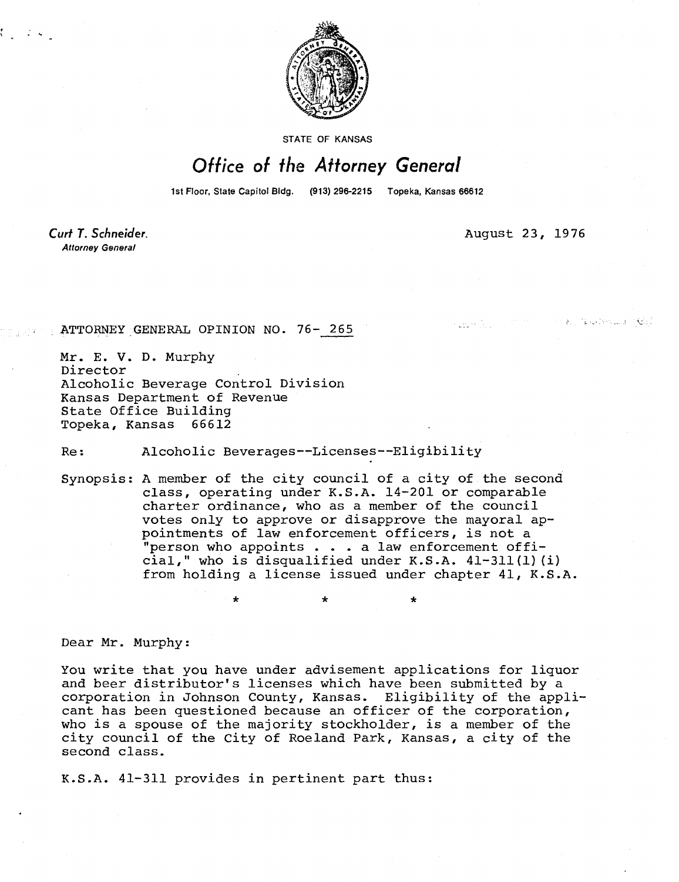

**STATE OF KANSAS** 

## Office of the Attorney General

1st Floor, State Capitol Bldg. (913) 296-2215 Topeka, Kansas 66612

\*

Curt T. Schneider. **Attorney General** 

August 23, 1976

おこな しびら こよ ごぜご

ATTORNEY GENERAL OPINION NO. 76-265

Mr. E. V. D. Murphy Director Alcoholic Beverage Control Division Kansas Department of Revenue State Office Building<br>Topeka, Kansas 66612 Topeka, Kansas

## Re: Alcoholic Beverages--Licenses--Eligibility

Synopsis: A member of the city council of a city of the second class, operating under K.S.A. 14-201 or comparable charter ordinance, who as a member of the council votes only to approve or disapprove the mayoral appointments of law enforcement officers, is not a "person who appoints . . . a law enforcement official," who is disqualified under K.S.A. 41-311(1)(i) from holding a license issued under chapter 41, K.S.A.

Dear Mr. Murphy:

You write that you have under advisement applications for liquor and beer distributor's licenses which have been submitted by a corporation in Johnson County, Kansas. Eligibility of the applicant has been questioned because an officer of the corporation, who is a spouse of the majority stockholder, is a member of the city council of the City of Roeland Park, Kansas, a city of the second class.

K.S.A. 41-311 provides in pertinent part thus: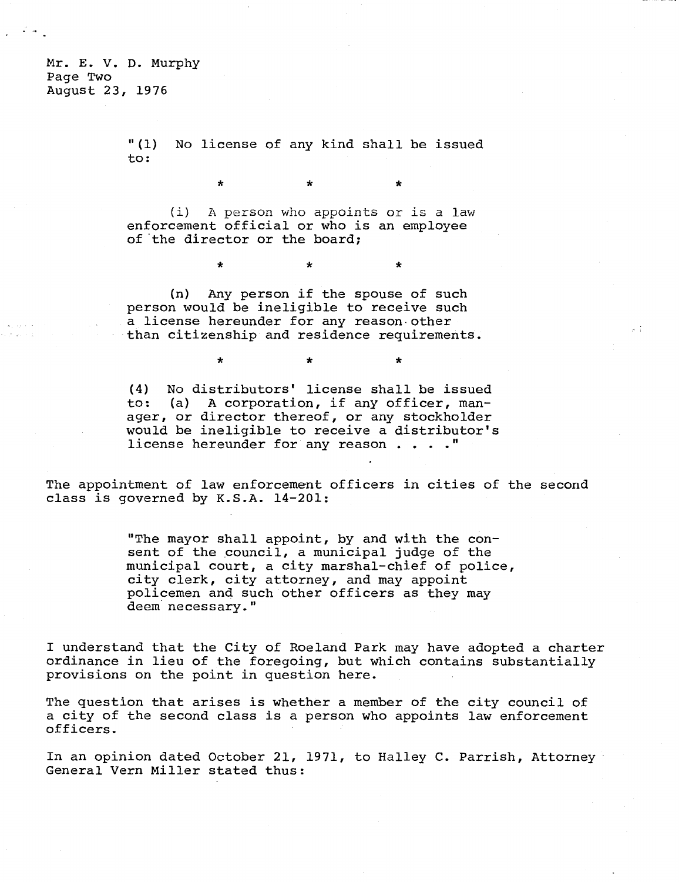Mr. E. V. D. Murphy Page Two August 23, 1976

> "(1) No license of any kind shall be issued to:

> > $\star$

(i) A person who appoints or is a law enforcement official or who is an employee of 'the director or the board;

\*

 $\star$ 

\*

(n) Any person if the spouse of such person would be ineligible to receive such a license hereunder for any reason other than citizenship and residence requirements.

(4) No distributors' license shall be issued to: (a) A corporation, if any officer, manager, or director thereof, or any stockholder would be ineligible to receive a distributor's license hereunder for any reason . . . ."

The appointment of law enforcement officers in cities of the second class is governed by K.S.A. 14-201:

> "The mayor shall appoint, by and with the consent of the council, a municipal judge of the municipal court, a city marshal-chief of police, city clerk, city attorney, and may appoint policemen and such other officers as they may deem necessary."

I understand that the City of Roeland Park may have adopted a charter ordinance in lieu of the foregoing, but which contains substantially provisions on the point in question here.

The question that arises is whether a member of the city council of a city of the second class is a person who appoints law enforcement officers.

In an opinion dated October 21, 1971, to Halley C. Parrish, Attorney General Vern Miller stated thus: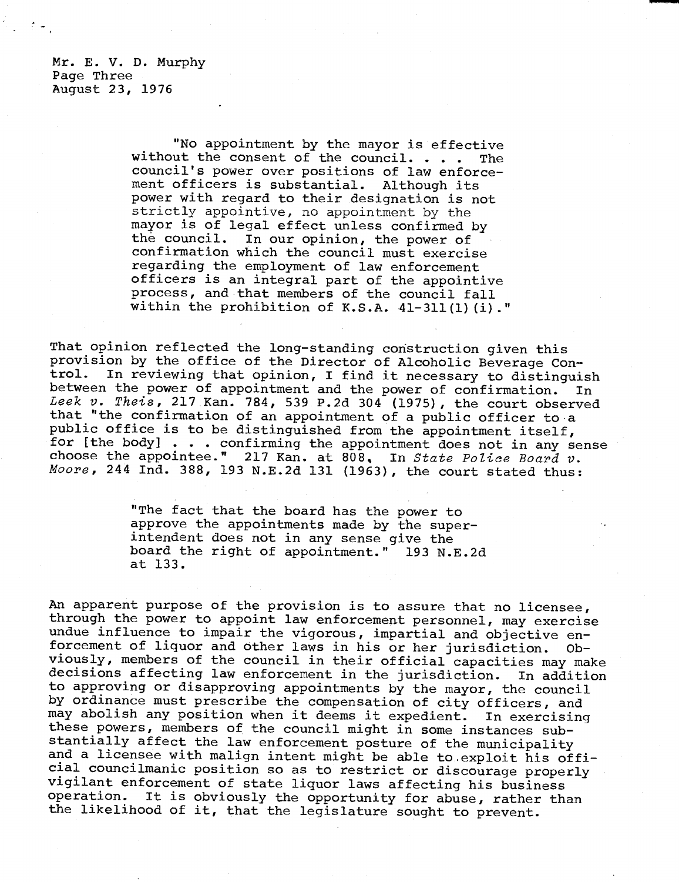Mr. E. V. D. Murphy Page Three August 23, 1976

> "No appointment by the mayor is effective without the consent of the council. . . . The council's power over positions of law enforcement officers is substantial. Although its power with regard to their designation is not strictly appointive, no appointment by the mayor is of legal effect unless confirmed by the council. In our opinion, the power of confirmation which the council must exercise regarding the employment of law enforcement officers is an integral part of the appointive process, and that members of the council fall within the prohibition of K.S.A. 41-311(1)(i)."

That opinion reflected the long-standing construction given this provision by the office of the Director of Alcoholic Beverage Con-<br>trol. In reviewing that opinion. I find it necessary to distinguie In reviewing that opinion, I find it necessary to distinguish between the power of appointment and the power of confirmation. In Leek v. Theis, 217 Kan. 784, 539 P.2d 304 (1975), the court observed that "the confirmation of an appointment of a public officer to a public office is to be distinguished from the appointment itself, for [the body] . . . confirming the appointment does not in any sense choose the appointee." 217 Kan. at 808, In State Police Board v. Moore, 244 Ind. 388, 193 N.E.2d 131 (1963), the court stated thus:

> "The fact that the board has the power to approve the appointments made by the superintendent does not in any sense give the board the right of appointment." 193 N.E.2d at 133.

An apparent purpose of the provision is to assure that no licensee, through the power to appoint law enforcement personnel, may exercise undue influence to impair the vigorous, impartial and objective enforcement of liquor and other laws in his or her jurisdiction. Obviously, members of the council in their official capacities may make decisions affecting law enforcement in the jurisdiction. In addition to approving or disapproving appointments by the mayor, the council by ordinance must prescribe the compensation of city officers, and may abolish any position when it deems it expedient. In exercising these powers, members of the council might in some instances substantially affect the law enforcement posture of the municipality and a licensee with malign intent might be able to exploit his official councilmanic position so as to restrict or discourage properly vigilant enforcement of state liquor laws affecting his business<br>operation. It is obviously the opportunity for abuse, rather the It is obviously the opportunity for abuse, rather than the likelihood of it, that the legislature sought to prevent.